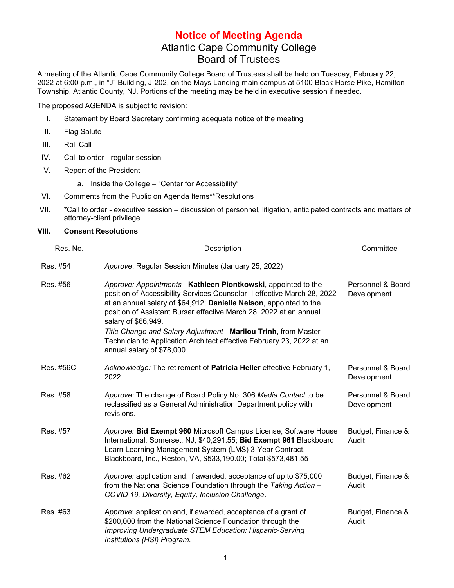## **Notice of Meeting Agenda** Atlantic Cape Community College Board of Trustees

A meeting of the Atlantic Cape Community College Board of Trustees shall be held on Tuesday, February 22, 2022 at 6:00 p.m., in "J" Building, J-202, on the Mays Landing main campus at 5100 Black Horse Pike, Hamilton Township, Atlantic County, NJ. Portions of the meeting may be held in executive session if needed.

The proposed AGENDA is subject to revision:

- I. Statement by Board Secretary confirming adequate notice of the meeting
- II. Flag Salute
- III. Roll Call
- IV. Call to order regular session
- V. Report of the President
	- a. Inside the College "Center for Accessibility"
- VI. Comments from the Public on Agenda Items\*\*Resolutions
- VII. \*Call to order executive session discussion of personnel, litigation, anticipated contracts and matters of attorney-client privilege

## **VIII. Consent Resolutions**

| Res. No.  | Description                                                                                                                                                                                                                                                                                                   | Committee                        |
|-----------|---------------------------------------------------------------------------------------------------------------------------------------------------------------------------------------------------------------------------------------------------------------------------------------------------------------|----------------------------------|
| Res. #54  | Approve: Regular Session Minutes (January 25, 2022)                                                                                                                                                                                                                                                           |                                  |
| Res. #56  | Approve: Appointments - Kathleen Piontkowski, appointed to the<br>position of Accessibility Services Counselor II effective March 28, 2022<br>at an annual salary of \$64,912; Danielle Nelson, appointed to the<br>position of Assistant Bursar effective March 28, 2022 at an annual<br>salary of \$66,949. | Personnel & Board<br>Development |
|           | Title Change and Salary Adjustment - Marilou Trinh, from Master<br>Technician to Application Architect effective February 23, 2022 at an<br>annual salary of \$78,000.                                                                                                                                        |                                  |
| Res. #56C | Acknowledge: The retirement of Patricia Heller effective February 1,<br>2022.                                                                                                                                                                                                                                 | Personnel & Board<br>Development |
| Res. #58  | Approve: The change of Board Policy No. 306 Media Contact to be<br>reclassified as a General Administration Department policy with<br>revisions.                                                                                                                                                              | Personnel & Board<br>Development |
| Res. #57  | Approve: Bid Exempt 960 Microsoft Campus License, Software House<br>International, Somerset, NJ, \$40,291.55; Bid Exempt 961 Blackboard<br>Learn Learning Management System (LMS) 3-Year Contract,<br>Blackboard, Inc., Reston, VA, \$533, 190.00; Total \$573, 481.55                                        | Budget, Finance &<br>Audit       |
| Res. #62  | Approve: application and, if awarded, acceptance of up to \$75,000<br>from the National Science Foundation through the Taking Action -<br>COVID 19, Diversity, Equity, Inclusion Challenge.                                                                                                                   | Budget, Finance &<br>Audit       |
| Res. #63  | Approve: application and, if awarded, acceptance of a grant of<br>\$200,000 from the National Science Foundation through the<br>Improving Undergraduate STEM Education: Hispanic-Serving<br>Institutions (HSI) Program.                                                                                       | Budget, Finance &<br>Audit       |